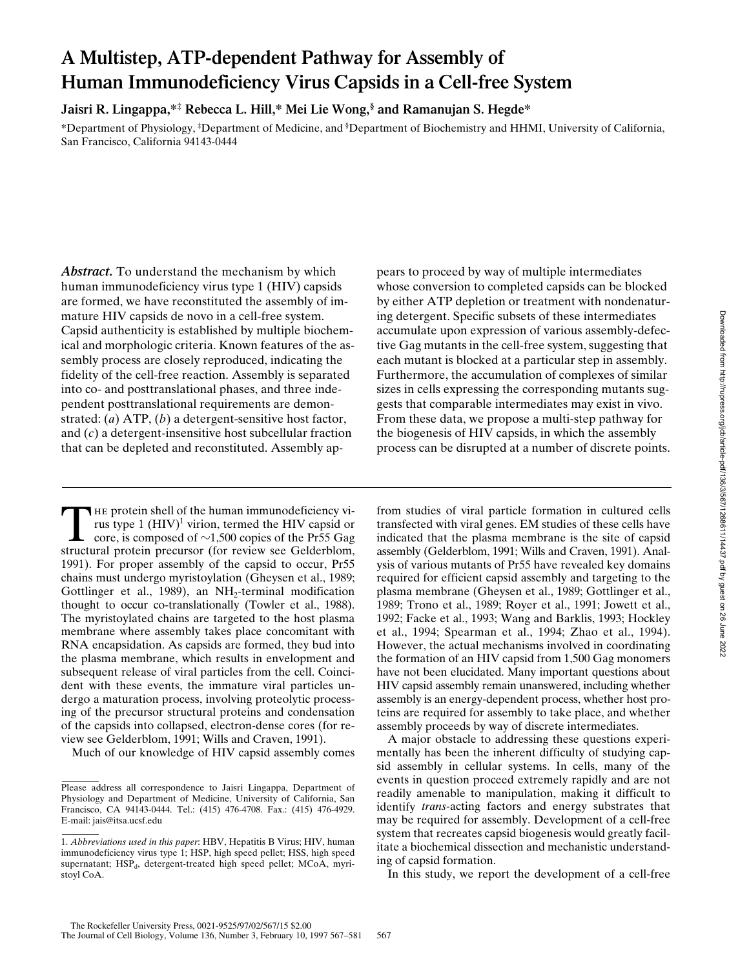# **A Multistep, ATP-dependent Pathway for Assembly of Human Immunodeficiency Virus Capsids in a Cell-free System**

**Jaisri R. Lingappa,\*‡ Rebecca L. Hill,\* Mei Lie Wong,§ and Ramanujan S. Hegde\***

\*Department of Physiology, ‡ Department of Medicine, and § Department of Biochemistry and HHMI, University of California, San Francisco, California 94143-0444

*Abstract.* To understand the mechanism by which human immunodeficiency virus type 1 (HIV) capsids are formed, we have reconstituted the assembly of immature HIV capsids de novo in a cell-free system. Capsid authenticity is established by multiple biochemical and morphologic criteria. Known features of the assembly process are closely reproduced, indicating the fidelity of the cell-free reaction. Assembly is separated into co- and posttranslational phases, and three independent posttranslational requirements are demonstrated: (*a*) ATP, (*b*) a detergent-sensitive host factor, and (*c*) a detergent-insensitive host subcellular fraction that can be depleted and reconstituted. Assembly ap-

The protein shell of the human immunodeficiency virus type 1  $(HIV)^1$  virion, termed the HIV capsid or core, is composed of  $\sim$ 1,500 copies of the Pr55 Gag structural protein precursor (for review see Gelderblom rus type  $1 \text{ (HIV)}^1$  virion, termed the HIV capsid or core, is composed of  $\sim$ 1,500 copies of the Pr55 Gag structural protein precursor (for review see Gelderblom, 1991). For proper assembly of the capsid to occur, Pr55 chains must undergo myristoylation (Gheysen et al., 1989; Gottlinger et al., 1989), an  $NH_2$ -terminal modification thought to occur co-translationally (Towler et al., 1988). The myristoylated chains are targeted to the host plasma membrane where assembly takes place concomitant with RNA encapsidation. As capsids are formed, they bud into the plasma membrane, which results in envelopment and subsequent release of viral particles from the cell. Coincident with these events, the immature viral particles undergo a maturation process, involving proteolytic processing of the precursor structural proteins and condensation of the capsids into collapsed, electron-dense cores (for review see Gelderblom, 1991; Wills and Craven, 1991).

Much of our knowledge of HIV capsid assembly comes

pears to proceed by way of multiple intermediates whose conversion to completed capsids can be blocked by either ATP depletion or treatment with nondenaturing detergent. Specific subsets of these intermediates accumulate upon expression of various assembly-defective Gag mutants in the cell-free system, suggesting that each mutant is blocked at a particular step in assembly. Furthermore, the accumulation of complexes of similar sizes in cells expressing the corresponding mutants suggests that comparable intermediates may exist in vivo. From these data, we propose a multi-step pathway for the biogenesis of HIV capsids, in which the assembly process can be disrupted at a number of discrete points.

from studies of viral particle formation in cultured cells transfected with viral genes. EM studies of these cells have indicated that the plasma membrane is the site of capsid assembly (Gelderblom, 1991; Wills and Craven, 1991). Analysis of various mutants of Pr55 have revealed key domains required for efficient capsid assembly and targeting to the plasma membrane (Gheysen et al., 1989; Gottlinger et al., 1989; Trono et al., 1989; Royer et al., 1991; Jowett et al., 1992; Facke et al., 1993; Wang and Barklis, 1993; Hockley et al., 1994; Spearman et al., 1994; Zhao et al., 1994). However, the actual mechanisms involved in coordinating the formation of an HIV capsid from 1,500 Gag monomers have not been elucidated. Many important questions about HIV capsid assembly remain unanswered, including whether assembly is an energy-dependent process, whether host proteins are required for assembly to take place, and whether assembly proceeds by way of discrete intermediates.

A major obstacle to addressing these questions experimentally has been the inherent difficulty of studying capsid assembly in cellular systems. In cells, many of the events in question proceed extremely rapidly and are not readily amenable to manipulation, making it difficult to identify *trans*-acting factors and energy substrates that may be required for assembly. Development of a cell-free system that recreates capsid biogenesis would greatly facilitate a biochemical dissection and mechanistic understanding of capsid formation.

In this study, we report the development of a cell-free

Please address all correspondence to Jaisri Lingappa, Department of Physiology and Department of Medicine, University of California, San Francisco, CA 94143-0444. Tel.: (415) 476-4708. Fax.: (415) 476-4929. E-mail: jais@itsa.ucsf.edu

<sup>1.</sup> *Abbreviations used in this paper*: HBV, Hepatitis B Virus; HIV, human immunodeficiency virus type 1; HSP, high speed pellet; HSS, high speed supernatant; HSP<sub>d</sub>, detergent-treated high speed pellet; MCoA, myristoyl CoA.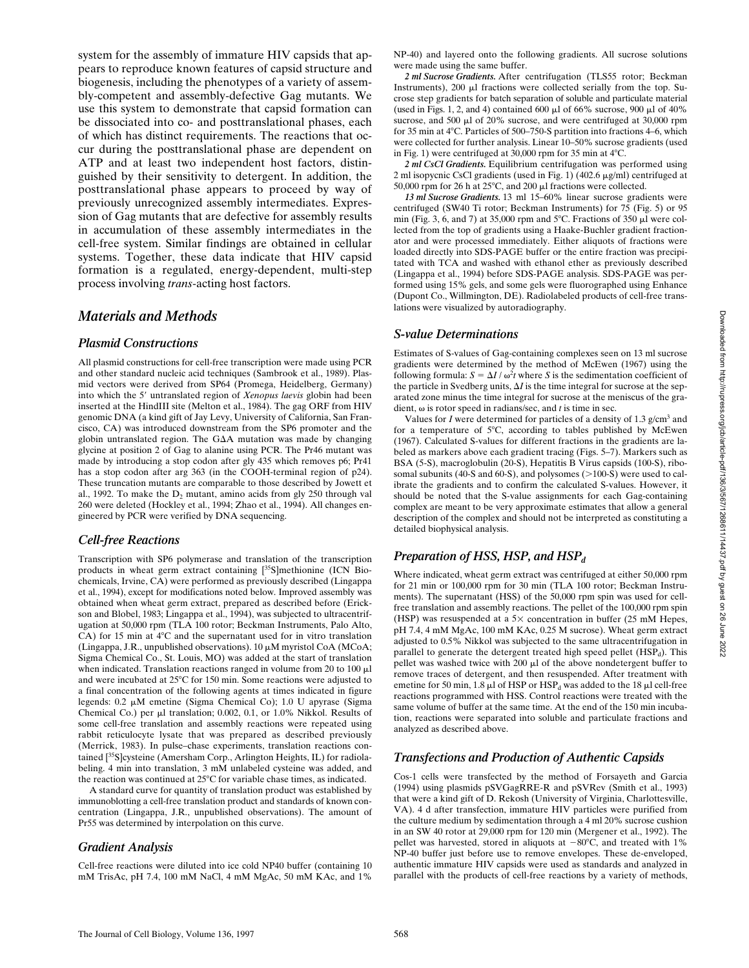system for the assembly of immature HIV capsids that appears to reproduce known features of capsid structure and biogenesis, including the phenotypes of a variety of assembly-competent and assembly-defective Gag mutants. We use this system to demonstrate that capsid formation can be dissociated into co- and posttranslational phases, each of which has distinct requirements. The reactions that occur during the posttranslational phase are dependent on ATP and at least two independent host factors, distinguished by their sensitivity to detergent. In addition, the posttranslational phase appears to proceed by way of previously unrecognized assembly intermediates. Expression of Gag mutants that are defective for assembly results in accumulation of these assembly intermediates in the cell-free system. Similar findings are obtained in cellular systems. Together, these data indicate that HIV capsid formation is a regulated, energy-dependent, multi-step process involving *trans*-acting host factors.

# *Materials and Methods*

#### *Plasmid Constructions*

All plasmid constructions for cell-free transcription were made using PCR and other standard nucleic acid techniques (Sambrook et al., 1989). Plasmid vectors were derived from SP64 (Promega, Heidelberg, Germany) into which the 5' untranslated region of *Xenopus laevis* globin had been inserted at the HindIII site (Melton et al., 1984). The gag ORF from HIV genomic DNA (a kind gift of Jay Levy, University of California, San Francisco, CA) was introduced downstream from the SP6 promoter and the globin untranslated region. The G $\Delta A$  mutation was made by changing glycine at position 2 of Gag to alanine using PCR. The Pr46 mutant was made by introducing a stop codon after gly 435 which removes p6; Pr41 has a stop codon after arg 363 (in the COOH-terminal region of p24). These truncation mutants are comparable to those described by Jowett et al., 1992. To make the  $D_2$  mutant, amino acids from gly 250 through val 260 were deleted (Hockley et al., 1994; Zhao et al., 1994). All changes engineered by PCR were verified by DNA sequencing.

# *Cell-free Reactions*

Transcription with SP6 polymerase and translation of the transcription products in wheat germ extract containing  $[35S]$ methionine (ICN Biochemicals, Irvine, CA) were performed as previously described (Lingappa et al., 1994), except for modifications noted below. Improved assembly was obtained when wheat germ extract, prepared as described before (Erickson and Blobel, 1983; Lingappa et al., 1994), was subjected to ultracentrifugation at 50,000 rpm (TLA 100 rotor; Beckman Instruments, Palo Alto,  $CA$ ) for 15 min at  $4^{\circ}$ C and the supernatant used for in vitro translation (Lingappa, J.R., unpublished observations).  $10 \mu M$  myristol CoA (MCoA; Sigma Chemical Co., St. Louis, MO) was added at the start of translation when indicated. Translation reactions ranged in volume from 20 to 100 ml and were incubated at 25°C for 150 min. Some reactions were adjusted to a final concentration of the following agents at times indicated in figure legends:  $0.2 \mu M$  emetine (Sigma Chemical Co);  $1.0 \text{ U}$  apyrase (Sigma Chemical Co.) per µl translation; 0.002, 0.1, or 1.0% Nikkol. Results of some cell-free translation and assembly reactions were repeated using rabbit reticulocyte lysate that was prepared as described previously (Merrick, 1983). In pulse–chase experiments, translation reactions contained [35S]cysteine (Amersham Corp., Arlington Heights, IL) for radiolabeling. 4 min into translation, 3 mM unlabeled cysteine was added, and the reaction was continued at  $25^{\circ}$ C for variable chase times, as indicated.

A standard curve for quantity of translation product was established by immunoblotting a cell-free translation product and standards of known concentration (Lingappa, J.R., unpublished observations). The amount of Pr55 was determined by interpolation on this curve.

#### *Gradient Analysis*

Cell-free reactions were diluted into ice cold NP40 buffer (containing 10 mM TrisAc, pH 7.4, 100 mM NaCl, 4 mM MgAc, 50 mM KAc, and 1%

NP-40) and layered onto the following gradients. All sucrose solutions were made using the same buffer.

*2 ml Sucrose Gradients.* After centrifugation (TLS55 rotor; Beckman Instruments),  $200 \mu l$  fractions were collected serially from the top. Sucrose step gradients for batch separation of soluble and particulate material (used in Figs. 1, 2, and 4) contained 600  $\mu$ l of 66% sucrose, 900  $\mu$ l of 40% sucrose, and 500  $\mu$ l of 20% sucrose, and were centrifuged at 30,000 rpm for 35 min at 4°C. Particles of 500–750-S partition into fractions 4–6, which were collected for further analysis. Linear 10–50% sucrose gradients (used in Fig. 1) were centrifuged at 30,000 rpm for 35 min at  $4^{\circ}$ C.

*2 ml CsCl Gradients.* Equilibrium centrifugation was performed using 2 ml isopycnic CsCl gradients (used in Fig. 1) (402.6  $\mu$ g/ml) centrifuged at 50,000 rpm for 26 h at 25 $^{\circ}$ C, and 200  $\mu$ l fractions were collected.

*13 ml Sucrose Gradients.* 13 ml 15–60% linear sucrose gradients were centrifuged (SW40 Ti rotor; Beckman Instruments) for 75 (Fig. 5) or 95 min (Fig. 3, 6, and 7) at 35,000 rpm and  $5^{\circ}$ C. Fractions of 350 µl were collected from the top of gradients using a Haake-Buchler gradient fractionator and were processed immediately. Either aliquots of fractions were loaded directly into SDS-PAGE buffer or the entire fraction was precipitated with TCA and washed with ethanol ether as previously described (Lingappa et al., 1994) before SDS-PAGE analysis. SDS-PAGE was performed using 15% gels, and some gels were fluorographed using Enhance (Dupont Co., Willmington, DE). Radiolabeled products of cell-free translations were visualized by autoradiography.

# *S-value Determinations*

Estimates of S-values of Gag-containing complexes seen on 13 ml sucrose gradients were determined by the method of McEwen (1967) using the following formula:  $S = \Delta I / \omega^2 t$  where *S* is the sedimentation coefficient of the particle in Svedberg units,  $\Delta I$  is the time integral for sucrose at the separated zone minus the time integral for sucrose at the meniscus of the gradient,  $\omega$  is rotor speed in radians/sec, and  $t$  is time in sec.

Values for *I* were determined for particles of a density of 1.3 g/cm<sup>3</sup> and for a temperature of  $5^{\circ}$ C, according to tables published by McEwen (1967). Calculated S-values for different fractions in the gradients are labeled as markers above each gradient tracing (Figs. 5–7). Markers such as BSA (5-S), macroglobulin (20-S), Hepatitis B Virus capsids (100-S), ribosomal subunits (40-S and 60-S), and polysomes ( $>$ 100-S) were used to calibrate the gradients and to confirm the calculated S-values. However, it should be noted that the S-value assignments for each Gag-containing complex are meant to be very approximate estimates that allow a general description of the complex and should not be interpreted as constituting a detailed biophysical analysis.

# *Preparation of HSS, HSP, and HSP*<sup>d</sup>

Where indicated, wheat germ extract was centrifuged at either 50,000 rpm for 21 min or 100,000 rpm for 30 min (TLA 100 rotor; Beckman Instruments). The supernatant (HSS) of the 50,000 rpm spin was used for cellfree translation and assembly reactions. The pellet of the 100,000 rpm spin (HSP) was resuspended at a  $5\times$  concentration in buffer (25 mM Hepes, pH 7.4, 4 mM MgAc, 100 mM KAc, 0.25 M sucrose). Wheat germ extract adjusted to 0.5% Nikkol was subjected to the same ultracentrifugation in parallel to generate the detergent treated high speed pellet  $(HSP<sub>d</sub>)$ . This pellet was washed twice with 200  $\mu$ l of the above nondetergent buffer to remove traces of detergent, and then resuspended. After treatment with emetine for 50 min, 1.8  $\mu$ l of HSP or HSP<sub>d</sub> was added to the 18  $\mu$ l cell-free reactions programmed with HSS. Control reactions were treated with the same volume of buffer at the same time. At the end of the 150 min incubation, reactions were separated into soluble and particulate fractions and analyzed as described above.

# *Transfections and Production of Authentic Capsids*

Cos-1 cells were transfected by the method of Forsayeth and Garcia (1994) using plasmids pSVGagRRE-R and pSVRev (Smith et al., 1993) that were a kind gift of D. Rekosh (University of Virginia, Charlottesville, VA). 4 d after transfection, immature HIV particles were purified from the culture medium by sedimentation through a 4 ml 20% sucrose cushion in an SW 40 rotor at 29,000 rpm for 120 min (Mergener et al., 1992). The pellet was harvested, stored in aliquots at  $-80^{\circ}$ C, and treated with 1% NP-40 buffer just before use to remove envelopes. These de-enveloped, authentic immature HIV capsids were used as standards and analyzed in parallel with the products of cell-free reactions by a variety of methods,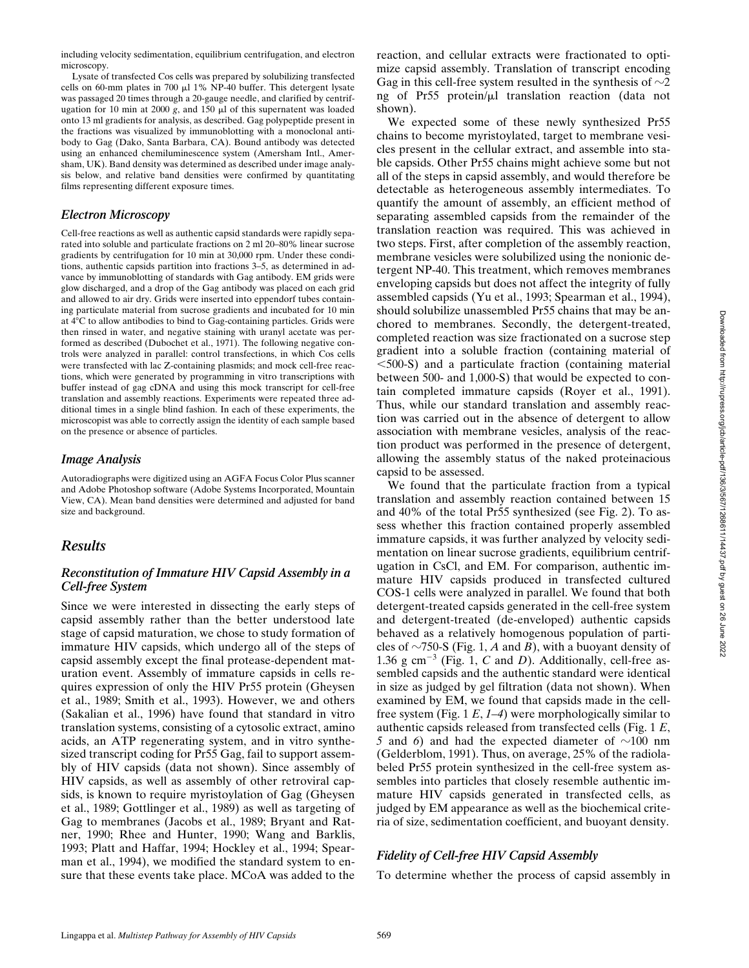including velocity sedimentation, equilibrium centrifugation, and electron microscopy.

Lysate of transfected Cos cells was prepared by solubilizing transfected cells on 60-mm plates in 700  $\mu$ l 1% NP-40 buffer. This detergent lysate was passaged 20 times through a 20-gauge needle, and clarified by centrifugation for 10 min at 2000 *g*, and 150  $\mu$ l of this supernatent was loaded onto 13 ml gradients for analysis, as described. Gag polypeptide present in the fractions was visualized by immunoblotting with a monoclonal antibody to Gag (Dako, Santa Barbara, CA). Bound antibody was detected using an enhanced chemiluminescence system (Amersham Intl., Amersham, UK). Band density was determined as described under image analysis below, and relative band densities were confirmed by quantitating films representing different exposure times.

#### *Electron Microscopy*

Cell-free reactions as well as authentic capsid standards were rapidly separated into soluble and particulate fractions on 2 ml 20–80% linear sucrose gradients by centrifugation for 10 min at 30,000 rpm. Under these conditions, authentic capsids partition into fractions 3–5, as determined in advance by immunoblotting of standards with Gag antibody. EM grids were glow discharged, and a drop of the Gag antibody was placed on each grid and allowed to air dry. Grids were inserted into eppendorf tubes containing particulate material from sucrose gradients and incubated for 10 min at 4°C to allow antibodies to bind to Gag-containing particles. Grids were then rinsed in water, and negative staining with uranyl acetate was performed as described (Dubochet et al., 1971). The following negative controls were analyzed in parallel: control transfections, in which Cos cells were transfected with lac Z-containing plasmids; and mock cell-free reactions, which were generated by programming in vitro transcriptions with buffer instead of gag cDNA and using this mock transcript for cell-free translation and assembly reactions. Experiments were repeated three additional times in a single blind fashion. In each of these experiments, the microscopist was able to correctly assign the identity of each sample based on the presence or absence of particles.

#### *Image Analysis*

Autoradiographs were digitized using an AGFA Focus Color Plus scanner and Adobe Photoshop software (Adobe Systems Incorporated, Mountain View, CA). Mean band densities were determined and adjusted for band size and background.

# *Results*

# *Reconstitution of Immature HIV Capsid Assembly in a Cell-free System*

Since we were interested in dissecting the early steps of capsid assembly rather than the better understood late stage of capsid maturation, we chose to study formation of immature HIV capsids, which undergo all of the steps of capsid assembly except the final protease-dependent maturation event. Assembly of immature capsids in cells requires expression of only the HIV Pr55 protein (Gheysen et al., 1989; Smith et al., 1993). However, we and others (Sakalian et al., 1996) have found that standard in vitro translation systems, consisting of a cytosolic extract, amino acids, an ATP regenerating system, and in vitro synthesized transcript coding for Pr55 Gag, fail to support assembly of HIV capsids (data not shown). Since assembly of HIV capsids, as well as assembly of other retroviral capsids, is known to require myristoylation of Gag (Gheysen et al., 1989; Gottlinger et al., 1989) as well as targeting of Gag to membranes (Jacobs et al., 1989; Bryant and Ratner, 1990; Rhee and Hunter, 1990; Wang and Barklis, 1993; Platt and Haffar, 1994; Hockley et al., 1994; Spearman et al., 1994), we modified the standard system to ensure that these events take place. MCoA was added to the reaction, and cellular extracts were fractionated to optimize capsid assembly. Translation of transcript encoding Gag in this cell-free system resulted in the synthesis of  $\sim$ 2 ng of Pr55 protein/ $\mu$ l translation reaction (data not shown).

We expected some of these newly synthesized Pr55 chains to become myristoylated, target to membrane vesicles present in the cellular extract, and assemble into stable capsids. Other Pr55 chains might achieve some but not all of the steps in capsid assembly, and would therefore be detectable as heterogeneous assembly intermediates. To quantify the amount of assembly, an efficient method of separating assembled capsids from the remainder of the translation reaction was required. This was achieved in two steps. First, after completion of the assembly reaction, membrane vesicles were solubilized using the nonionic detergent NP-40. This treatment, which removes membranes enveloping capsids but does not affect the integrity of fully assembled capsids (Yu et al., 1993; Spearman et al., 1994), should solubilize unassembled Pr55 chains that may be anchored to membranes. Secondly, the detergent-treated, completed reaction was size fractionated on a sucrose step gradient into a soluble fraction (containing material of  $\langle 500-S \rangle$  and a particulate fraction (containing material between 500- and 1,000-S) that would be expected to contain completed immature capsids (Royer et al., 1991). Thus, while our standard translation and assembly reaction was carried out in the absence of detergent to allow association with membrane vesicles, analysis of the reaction product was performed in the presence of detergent, allowing the assembly status of the naked proteinacious capsid to be assessed.

We found that the particulate fraction from a typical translation and assembly reaction contained between 15 and 40% of the total Pr55 synthesized (see Fig. 2). To assess whether this fraction contained properly assembled immature capsids, it was further analyzed by velocity sedimentation on linear sucrose gradients, equilibrium centrifugation in CsCl, and EM. For comparison, authentic immature HIV capsids produced in transfected cultured COS-1 cells were analyzed in parallel. We found that both detergent-treated capsids generated in the cell-free system and detergent-treated (de-enveloped) authentic capsids behaved as a relatively homogenous population of particles of  $\sim$ 750-S (Fig. 1, *A* and *B*), with a buoyant density of 1.36 g cm<sup>-3</sup> (Fig. 1, *C* and *D*). Additionally, cell-free assembled capsids and the authentic standard were identical in size as judged by gel filtration (data not shown). When examined by EM, we found that capsids made in the cellfree system (Fig. 1 *E*, *1–4*) were morphologically similar to authentic capsids released from transfected cells (Fig. 1 *E*, *5* and *6*) and had the expected diameter of  $\sim$ 100 nm (Gelderblom, 1991). Thus, on average, 25% of the radiolabeled Pr55 protein synthesized in the cell-free system assembles into particles that closely resemble authentic immature HIV capsids generated in transfected cells, as judged by EM appearance as well as the biochemical criteria of size, sedimentation coefficient, and buoyant density.

# *Fidelity of Cell-free HIV Capsid Assembly*

To determine whether the process of capsid assembly in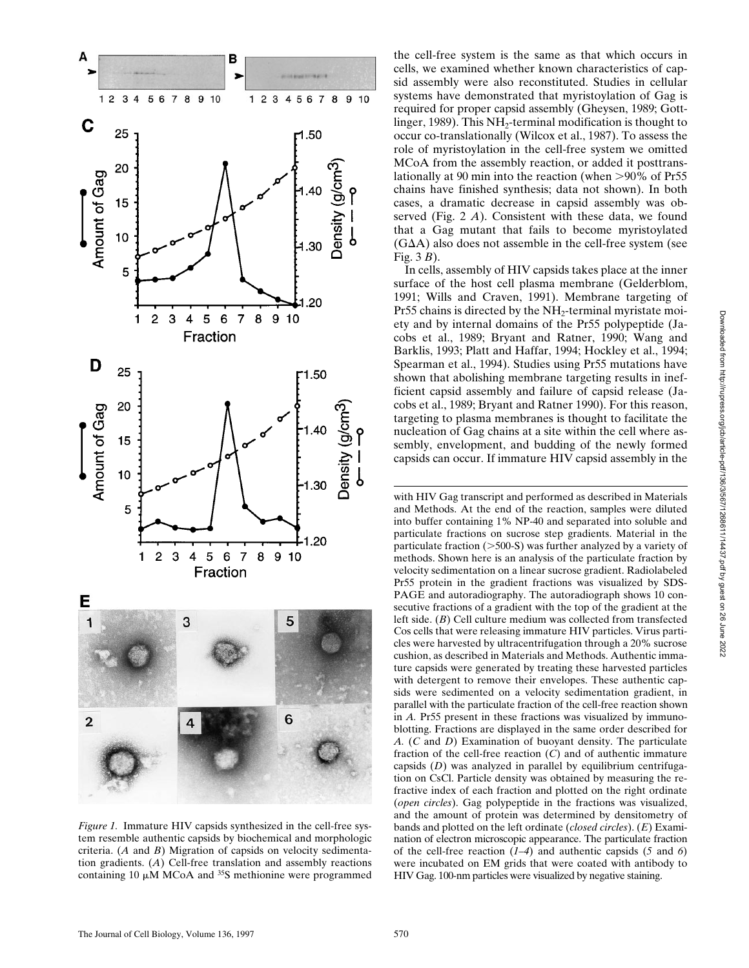

*Figure 1.* Immature HIV capsids synthesized in the cell-free system resemble authentic capsids by biochemical and morphologic criteria. (*A* and *B*) Migration of capsids on velocity sedimentation gradients. (*A*) Cell-free translation and assembly reactions containing 10  $\mu$ M MCoA and <sup>35</sup>S methionine were programmed

the cell-free system is the same as that which occurs in cells, we examined whether known characteristics of capsid assembly were also reconstituted. Studies in cellular systems have demonstrated that myristoylation of Gag is required for proper capsid assembly (Gheysen, 1989; Gottlinger, 1989). This  $NH<sub>2</sub>$ -terminal modification is thought to occur co-translationally (Wilcox et al., 1987). To assess the role of myristoylation in the cell-free system we omitted MCoA from the assembly reaction, or added it posttranslationally at 90 min into the reaction (when  $>$ 90% of Pr55 chains have finished synthesis; data not shown). In both cases, a dramatic decrease in capsid assembly was observed (Fig. 2 *A*). Consistent with these data, we found that a Gag mutant that fails to become myristoylated  $(G\Delta A)$  also does not assemble in the cell-free system (see Fig. 3 *B*).

In cells, assembly of HIV capsids takes place at the inner surface of the host cell plasma membrane (Gelderblom, 1991; Wills and Craven, 1991). Membrane targeting of  $Pr55$  chains is directed by the  $NH<sub>2</sub>$ -terminal myristate moiety and by internal domains of the Pr55 polypeptide (Jacobs et al., 1989; Bryant and Ratner, 1990; Wang and Barklis, 1993; Platt and Haffar, 1994; Hockley et al., 1994; Spearman et al., 1994). Studies using Pr55 mutations have shown that abolishing membrane targeting results in inefficient capsid assembly and failure of capsid release (Jacobs et al., 1989; Bryant and Ratner 1990). For this reason, targeting to plasma membranes is thought to facilitate the nucleation of Gag chains at a site within the cell where assembly, envelopment, and budding of the newly formed capsids can occur. If immature HIV capsid assembly in the

with HIV Gag transcript and performed as described in Materials and Methods. At the end of the reaction, samples were diluted into buffer containing 1% NP-40 and separated into soluble and particulate fractions on sucrose step gradients. Material in the particulate fraction  $($ >500-S $)$  was further analyzed by a variety of methods. Shown here is an analysis of the particulate fraction by velocity sedimentation on a linear sucrose gradient. Radiolabeled Pr55 protein in the gradient fractions was visualized by SDS-PAGE and autoradiography. The autoradiograph shows 10 consecutive fractions of a gradient with the top of the gradient at the left side. (*B*) Cell culture medium was collected from transfected Cos cells that were releasing immature HIV particles. Virus particles were harvested by ultracentrifugation through a 20% sucrose cushion, as described in Materials and Methods. Authentic immature capsids were generated by treating these harvested particles with detergent to remove their envelopes. These authentic capsids were sedimented on a velocity sedimentation gradient, in parallel with the particulate fraction of the cell-free reaction shown in *A.* Pr55 present in these fractions was visualized by immunoblotting. Fractions are displayed in the same order described for *A.* (*C* and *D*) Examination of buoyant density. The particulate fraction of the cell-free reaction (*C*) and of authentic immature capsids (*D*) was analyzed in parallel by equilibrium centrifugation on CsCl. Particle density was obtained by measuring the refractive index of each fraction and plotted on the right ordinate (*open circles*). Gag polypeptide in the fractions was visualized, and the amount of protein was determined by densitometry of bands and plotted on the left ordinate (*closed circles*). (*E*) Examination of electron microscopic appearance. The particulate fraction of the cell-free reaction (*1–4*) and authentic capsids (*5* and *6*) were incubated on EM grids that were coated with antibody to HIV Gag. 100-nm particles were visualized by negative staining.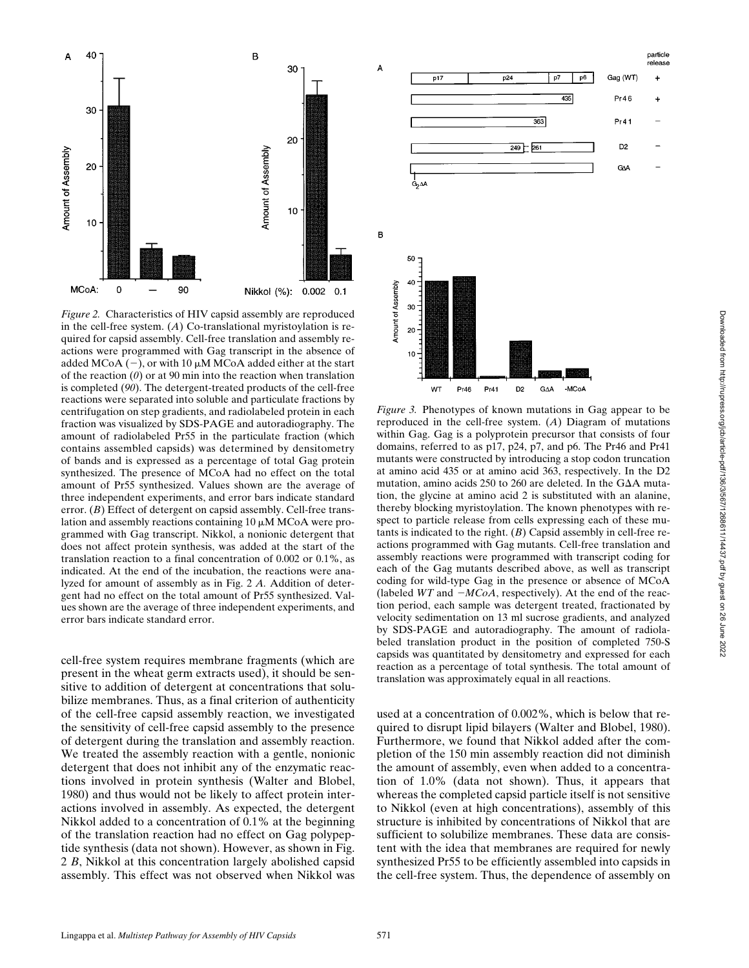

*Figure 2.* Characteristics of HIV capsid assembly are reproduced in the cell-free system. (*A*) Co-translational myristoylation is required for capsid assembly. Cell-free translation and assembly reactions were programmed with Gag transcript in the absence of added MCoA  $(-)$ , or with 10  $\mu$ M MCoA added either at the start of the reaction (*0*) or at 90 min into the reaction when translation is completed (*90*). The detergent-treated products of the cell-free reactions were separated into soluble and particulate fractions by centrifugation on step gradients, and radiolabeled protein in each fraction was visualized by SDS-PAGE and autoradiography. The amount of radiolabeled Pr55 in the particulate fraction (which contains assembled capsids) was determined by densitometry of bands and is expressed as a percentage of total Gag protein synthesized. The presence of MCoA had no effect on the total amount of Pr55 synthesized. Values shown are the average of three independent experiments, and error bars indicate standard error. (*B*) Effect of detergent on capsid assembly. Cell-free translation and assembly reactions containing  $10 \mu M MCoA$  were programmed with Gag transcript. Nikkol, a nonionic detergent that does not affect protein synthesis, was added at the start of the translation reaction to a final concentration of 0.002 or 0.1%, as indicated. At the end of the incubation, the reactions were analyzed for amount of assembly as in Fig. 2 *A.* Addition of detergent had no effect on the total amount of Pr55 synthesized. Values shown are the average of three independent experiments, and error bars indicate standard error.

cell-free system requires membrane fragments (which are present in the wheat germ extracts used), it should be sensitive to addition of detergent at concentrations that solubilize membranes. Thus, as a final criterion of authenticity of the cell-free capsid assembly reaction, we investigated the sensitivity of cell-free capsid assembly to the presence of detergent during the translation and assembly reaction. We treated the assembly reaction with a gentle, nonionic detergent that does not inhibit any of the enzymatic reactions involved in protein synthesis (Walter and Blobel, 1980) and thus would not be likely to affect protein interactions involved in assembly. As expected, the detergent Nikkol added to a concentration of 0.1% at the beginning of the translation reaction had no effect on Gag polypeptide synthesis (data not shown). However, as shown in Fig. 2 *B*, Nikkol at this concentration largely abolished capsid assembly. This effect was not observed when Nikkol was



*Figure 3.* Phenotypes of known mutations in Gag appear to be reproduced in the cell-free system. (*A*) Diagram of mutations within Gag. Gag is a polyprotein precursor that consists of four domains, referred to as p17, p24, p7, and p6. The Pr46 and Pr41 mutants were constructed by introducing a stop codon truncation at amino acid 435 or at amino acid 363, respectively. In the D2 mutation, amino acids 250 to 260 are deleted. In the G $\Delta A$  mutation, the glycine at amino acid 2 is substituted with an alanine, thereby blocking myristoylation. The known phenotypes with respect to particle release from cells expressing each of these mutants is indicated to the right. (*B*) Capsid assembly in cell-free reactions programmed with Gag mutants. Cell-free translation and assembly reactions were programmed with transcript coding for each of the Gag mutants described above, as well as transcript coding for wild-type Gag in the presence or absence of MCoA (labeled  $WT$  and  $-MCoA$ , respectively). At the end of the reaction period, each sample was detergent treated, fractionated by velocity sedimentation on 13 ml sucrose gradients, and analyzed by SDS-PAGE and autoradiography. The amount of radiolabeled translation product in the position of completed 750-S capsids was quantitated by densitometry and expressed for each reaction as a percentage of total synthesis. The total amount of translation was approximately equal in all reactions.

used at a concentration of 0.002%, which is below that required to disrupt lipid bilayers (Walter and Blobel, 1980). Furthermore, we found that Nikkol added after the completion of the 150 min assembly reaction did not diminish the amount of assembly, even when added to a concentration of 1.0% (data not shown). Thus, it appears that whereas the completed capsid particle itself is not sensitive to Nikkol (even at high concentrations), assembly of this structure is inhibited by concentrations of Nikkol that are sufficient to solubilize membranes. These data are consistent with the idea that membranes are required for newly synthesized Pr55 to be efficiently assembled into capsids in the cell-free system. Thus, the dependence of assembly on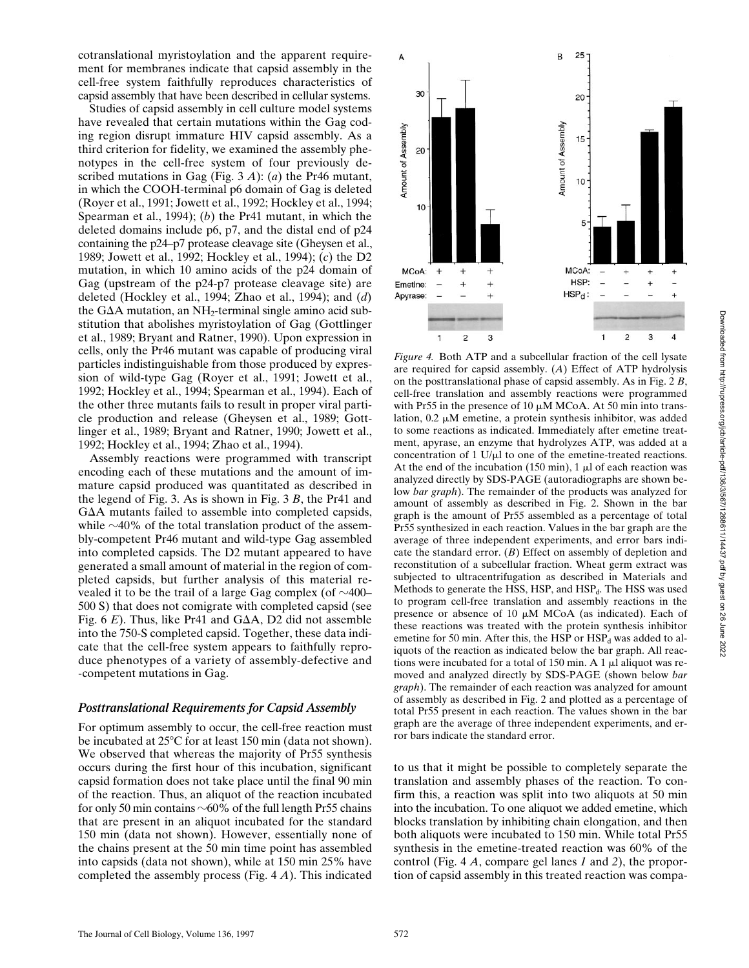cotranslational myristoylation and the apparent requirement for membranes indicate that capsid assembly in the cell-free system faithfully reproduces characteristics of capsid assembly that have been described in cellular systems.

Studies of capsid assembly in cell culture model systems have revealed that certain mutations within the Gag coding region disrupt immature HIV capsid assembly. As a third criterion for fidelity, we examined the assembly phenotypes in the cell-free system of four previously described mutations in Gag (Fig. 3 *A*): (*a*) the Pr46 mutant, in which the COOH-terminal p6 domain of Gag is deleted (Royer et al., 1991; Jowett et al., 1992; Hockley et al., 1994; Spearman et al., 1994); (*b*) the Pr41 mutant, in which the deleted domains include p6, p7, and the distal end of p24 containing the p24–p7 protease cleavage site (Gheysen et al., 1989; Jowett et al., 1992; Hockley et al., 1994); (*c*) the D2 mutation, in which 10 amino acids of the p24 domain of Gag (upstream of the p24-p7 protease cleavage site) are deleted (Hockley et al., 1994; Zhao et al., 1994); and (*d*) the G $\Delta A$  mutation, an NH<sub>2</sub>-terminal single amino acid substitution that abolishes myristoylation of Gag (Gottlinger et al., 1989; Bryant and Ratner, 1990). Upon expression in cells, only the Pr46 mutant was capable of producing viral particles indistinguishable from those produced by expression of wild-type Gag (Royer et al., 1991; Jowett et al., 1992; Hockley et al., 1994; Spearman et al., 1994). Each of the other three mutants fails to result in proper viral particle production and release (Gheysen et al., 1989; Gottlinger et al., 1989; Bryant and Ratner, 1990; Jowett et al., 1992; Hockley et al., 1994; Zhao et al., 1994).

Assembly reactions were programmed with transcript encoding each of these mutations and the amount of immature capsid produced was quantitated as described in the legend of Fig. 3. As is shown in Fig. 3 *B*, the Pr41 and  $G\Delta A$  mutants failed to assemble into completed capsids, while  $\sim$ 40% of the total translation product of the assembly-competent Pr46 mutant and wild-type Gag assembled into completed capsids. The D2 mutant appeared to have generated a small amount of material in the region of completed capsids, but further analysis of this material revealed it to be the trail of a large Gag complex (of  $\sim$ 400– 500 S) that does not comigrate with completed capsid (see Fig.  $6$  *E*). Thus, like Pr41 and G $\Delta$ A, D2 did not assemble into the 750-S completed capsid. Together, these data indicate that the cell-free system appears to faithfully reproduce phenotypes of a variety of assembly-defective and -competent mutations in Gag.

# *Posttranslational Requirements for Capsid Assembly*

For optimum assembly to occur, the cell-free reaction must be incubated at  $25^{\circ}$ C for at least 150 min (data not shown). We observed that whereas the majority of Pr55 synthesis occurs during the first hour of this incubation, significant capsid formation does not take place until the final 90 min of the reaction. Thus, an aliquot of the reaction incubated for only 50 min contains  $\sim 60\%$  of the full length Pr55 chains that are present in an aliquot incubated for the standard 150 min (data not shown). However, essentially none of the chains present at the 50 min time point has assembled into capsids (data not shown), while at 150 min 25% have completed the assembly process (Fig. 4 *A*). This indicated



*Figure 4.* Both ATP and a subcellular fraction of the cell lysate are required for capsid assembly. (*A*) Effect of ATP hydrolysis on the posttranslational phase of capsid assembly. As in Fig. 2 *B*, cell-free translation and assembly reactions were programmed with Pr55 in the presence of 10  $\mu$ M MCoA. At 50 min into translation,  $0.2 \mu M$  emetine, a protein synthesis inhibitor, was added to some reactions as indicated. Immediately after emetine treatment, apyrase, an enzyme that hydrolyzes ATP, was added at a concentration of 1  $U/\mu$ l to one of the emetine-treated reactions. At the end of the incubation (150 min),  $1 \mu$ l of each reaction was analyzed directly by SDS-PAGE (autoradiographs are shown below *bar graph*). The remainder of the products was analyzed for amount of assembly as described in Fig. 2. Shown in the bar graph is the amount of Pr55 assembled as a percentage of total Pr55 synthesized in each reaction. Values in the bar graph are the average of three independent experiments, and error bars indicate the standard error. (*B*) Effect on assembly of depletion and reconstitution of a subcellular fraction. Wheat germ extract was subjected to ultracentrifugation as described in Materials and Methods to generate the HSS, HSP, and HSP<sub>d</sub>. The HSS was used to program cell-free translation and assembly reactions in the presence or absence of 10  $\mu$ M MCoA (as indicated). Each of these reactions was treated with the protein synthesis inhibitor emetine for 50 min. After this, the HSP or  $HSP<sub>d</sub>$  was added to aliquots of the reaction as indicated below the bar graph. All reactions were incubated for a total of 150 min. A 1  $\mu$ l aliquot was removed and analyzed directly by SDS-PAGE (shown below *bar graph*). The remainder of each reaction was analyzed for amount of assembly as described in Fig. 2 and plotted as a percentage of total Pr55 present in each reaction. The values shown in the bar graph are the average of three independent experiments, and error bars indicate the standard error.

to us that it might be possible to completely separate the translation and assembly phases of the reaction. To confirm this, a reaction was split into two aliquots at 50 min into the incubation. To one aliquot we added emetine, which blocks translation by inhibiting chain elongation, and then both aliquots were incubated to 150 min. While total Pr55 synthesis in the emetine-treated reaction was 60% of the control (Fig. 4 *A*, compare gel lanes *1* and *2*), the proportion of capsid assembly in this treated reaction was compa-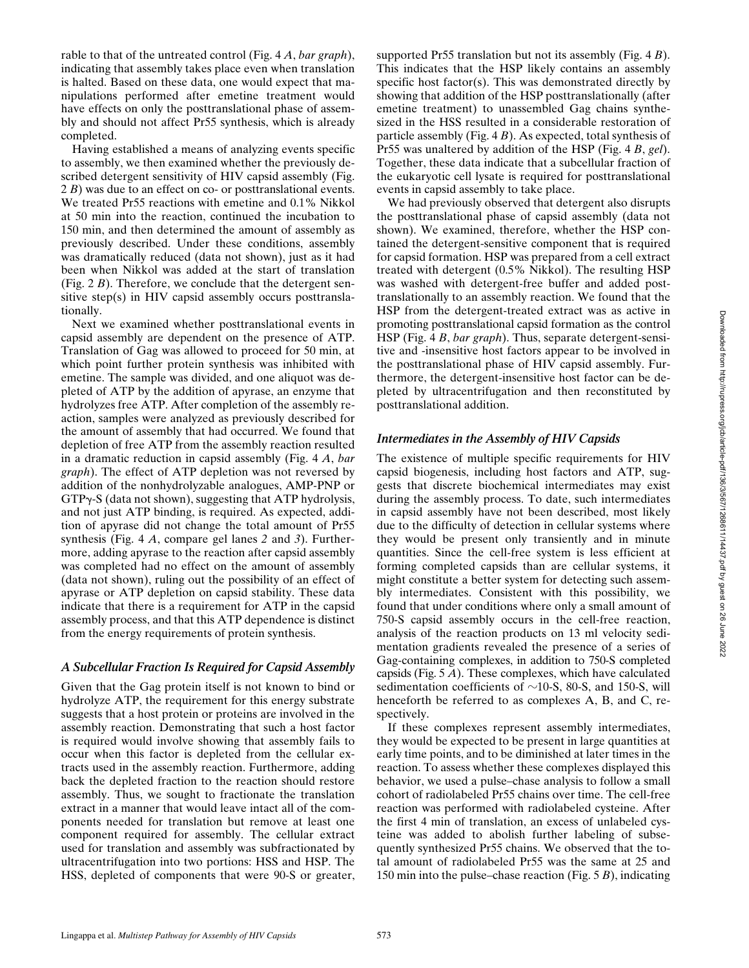rable to that of the untreated control (Fig. 4 *A*, *bar graph*), indicating that assembly takes place even when translation is halted. Based on these data, one would expect that manipulations performed after emetine treatment would have effects on only the posttranslational phase of assembly and should not affect Pr55 synthesis, which is already completed.

Having established a means of analyzing events specific to assembly, we then examined whether the previously described detergent sensitivity of HIV capsid assembly (Fig. 2 *B*) was due to an effect on co- or posttranslational events. We treated Pr55 reactions with emetine and 0.1% Nikkol at 50 min into the reaction, continued the incubation to 150 min, and then determined the amount of assembly as previously described. Under these conditions, assembly was dramatically reduced (data not shown), just as it had been when Nikkol was added at the start of translation (Fig. 2 *B*). Therefore, we conclude that the detergent sensitive step(s) in HIV capsid assembly occurs posttranslationally.

Next we examined whether posttranslational events in capsid assembly are dependent on the presence of ATP. Translation of Gag was allowed to proceed for 50 min, at which point further protein synthesis was inhibited with emetine. The sample was divided, and one aliquot was depleted of ATP by the addition of apyrase, an enzyme that hydrolyzes free ATP. After completion of the assembly reaction, samples were analyzed as previously described for the amount of assembly that had occurred. We found that depletion of free ATP from the assembly reaction resulted in a dramatic reduction in capsid assembly (Fig. 4 *A*, *bar graph*). The effect of ATP depletion was not reversed by addition of the nonhydrolyzable analogues, AMP-PNP or GTPg-S (data not shown), suggesting that ATP hydrolysis, and not just ATP binding, is required. As expected, addition of apyrase did not change the total amount of Pr55 synthesis (Fig. 4 *A*, compare gel lanes *2* and *3*). Furthermore, adding apyrase to the reaction after capsid assembly was completed had no effect on the amount of assembly (data not shown), ruling out the possibility of an effect of apyrase or ATP depletion on capsid stability. These data indicate that there is a requirement for ATP in the capsid assembly process, and that this ATP dependence is distinct from the energy requirements of protein synthesis.

#### *A Subcellular Fraction Is Required for Capsid Assembly*

Given that the Gag protein itself is not known to bind or hydrolyze ATP, the requirement for this energy substrate suggests that a host protein or proteins are involved in the assembly reaction. Demonstrating that such a host factor is required would involve showing that assembly fails to occur when this factor is depleted from the cellular extracts used in the assembly reaction. Furthermore, adding back the depleted fraction to the reaction should restore assembly. Thus, we sought to fractionate the translation extract in a manner that would leave intact all of the components needed for translation but remove at least one component required for assembly. The cellular extract used for translation and assembly was subfractionated by ultracentrifugation into two portions: HSS and HSP. The HSS, depleted of components that were 90-S or greater,

supported Pr55 translation but not its assembly (Fig. 4 *B*). This indicates that the HSP likely contains an assembly specific host factor(s). This was demonstrated directly by showing that addition of the HSP posttranslationally (after emetine treatment) to unassembled Gag chains synthesized in the HSS resulted in a considerable restoration of particle assembly (Fig. 4 *B*). As expected, total synthesis of Pr55 was unaltered by addition of the HSP (Fig. 4 *B*, *gel*). Together, these data indicate that a subcellular fraction of the eukaryotic cell lysate is required for posttranslational events in capsid assembly to take place.

We had previously observed that detergent also disrupts the posttranslational phase of capsid assembly (data not shown). We examined, therefore, whether the HSP contained the detergent-sensitive component that is required for capsid formation. HSP was prepared from a cell extract treated with detergent (0.5% Nikkol). The resulting HSP was washed with detergent-free buffer and added posttranslationally to an assembly reaction. We found that the HSP from the detergent-treated extract was as active in promoting posttranslational capsid formation as the control HSP (Fig. 4 *B*, *bar graph*). Thus, separate detergent-sensitive and -insensitive host factors appear to be involved in the posttranslational phase of HIV capsid assembly. Furthermore, the detergent-insensitive host factor can be depleted by ultracentrifugation and then reconstituted by posttranslational addition.

# *Intermediates in the Assembly of HIV Capsids*

The existence of multiple specific requirements for HIV capsid biogenesis, including host factors and ATP, suggests that discrete biochemical intermediates may exist during the assembly process. To date, such intermediates in capsid assembly have not been described, most likely due to the difficulty of detection in cellular systems where they would be present only transiently and in minute quantities. Since the cell-free system is less efficient at forming completed capsids than are cellular systems, it might constitute a better system for detecting such assembly intermediates. Consistent with this possibility, we found that under conditions where only a small amount of 750-S capsid assembly occurs in the cell-free reaction, analysis of the reaction products on 13 ml velocity sedimentation gradients revealed the presence of a series of Gag-containing complexes, in addition to 750-S completed capsids (Fig. 5 *A*). These complexes, which have calculated sedimentation coefficients of  $\sim$ 10-S, 80-S, and 150-S, will henceforth be referred to as complexes A, B, and C, respectively.

If these complexes represent assembly intermediates, they would be expected to be present in large quantities at early time points, and to be diminished at later times in the reaction. To assess whether these complexes displayed this behavior, we used a pulse–chase analysis to follow a small cohort of radiolabeled Pr55 chains over time. The cell-free reaction was performed with radiolabeled cysteine. After the first 4 min of translation, an excess of unlabeled cysteine was added to abolish further labeling of subsequently synthesized Pr55 chains. We observed that the total amount of radiolabeled Pr55 was the same at 25 and 150 min into the pulse–chase reaction (Fig. 5 *B*), indicating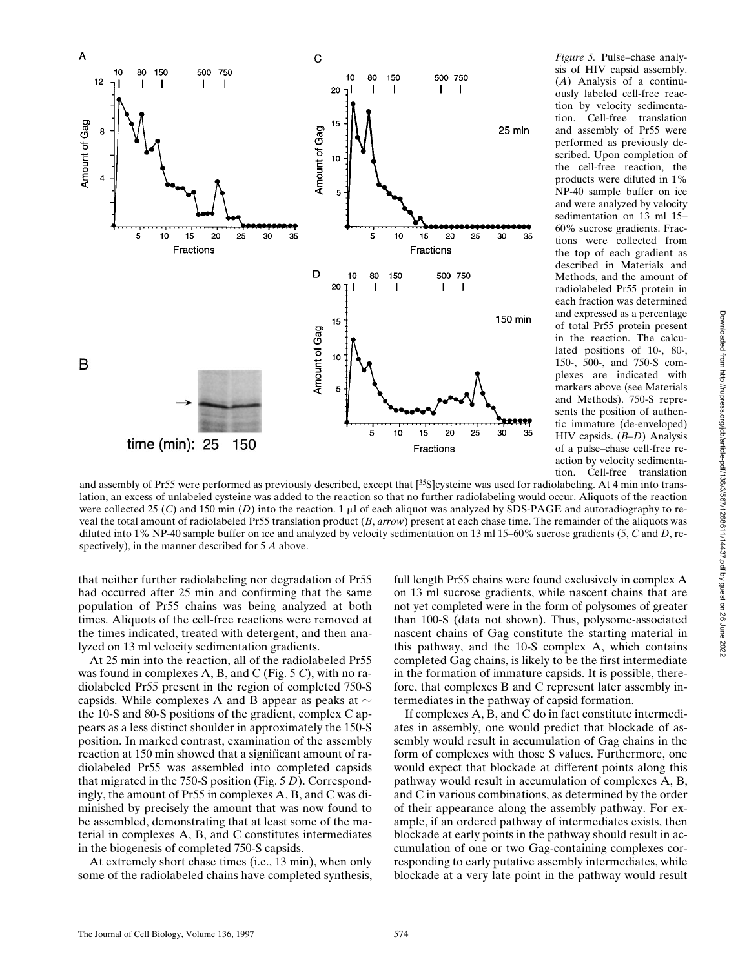

*Figure 5.* Pulse–chase analysis of HIV capsid assembly. (*A*) Analysis of a continuously labeled cell-free reaction by velocity sedimentation. Cell-free translation and assembly of Pr55 were performed as previously described. Upon completion of the cell-free reaction, the products were diluted in 1% NP-40 sample buffer on ice and were analyzed by velocity sedimentation on 13 ml 15– 60% sucrose gradients. Fractions were collected from the top of each gradient as described in Materials and Methods, and the amount of radiolabeled Pr55 protein in each fraction was determined and expressed as a percentage of total Pr55 protein present in the reaction. The calculated positions of 10-, 80-, 150-, 500-, and 750-S complexes are indicated with markers above (see Materials and Methods). 750-S represents the position of authentic immature (de-enveloped) HIV capsids. (*B–D*) Analysis of a pulse–chase cell-free reaction by velocity sedimentation. Cell-free translation

and assembly of Pr55 were performed as previously described, except that [<sup>35</sup>S]cysteine was used for radiolabeling. At 4 min into translation, an excess of unlabeled cysteine was added to the reaction so that no further radiolabeling would occur. Aliquots of the reaction were collected 25  $(C)$  and 150 min  $(D)$  into the reaction. 1  $\mu$  of each aliquot was analyzed by SDS-PAGE and autoradiography to reveal the total amount of radiolabeled Pr55 translation product (*B*, *arrow*) present at each chase time. The remainder of the aliquots was diluted into 1% NP-40 sample buffer on ice and analyzed by velocity sedimentation on 13 ml 15–60% sucrose gradients (5, *C* and *D*, respectively), in the manner described for 5 *A* above.

that neither further radiolabeling nor degradation of Pr55 had occurred after 25 min and confirming that the same population of Pr55 chains was being analyzed at both times. Aliquots of the cell-free reactions were removed at the times indicated, treated with detergent, and then analyzed on 13 ml velocity sedimentation gradients.

At 25 min into the reaction, all of the radiolabeled Pr55 was found in complexes A, B, and C (Fig. 5 *C*), with no radiolabeled Pr55 present in the region of completed 750-S capsids. While complexes A and B appear as peaks at  $\sim$ the 10-S and 80-S positions of the gradient, complex C appears as a less distinct shoulder in approximately the 150-S position. In marked contrast, examination of the assembly reaction at 150 min showed that a significant amount of radiolabeled Pr55 was assembled into completed capsids that migrated in the 750-S position (Fig. 5 *D*). Correspondingly, the amount of Pr55 in complexes A, B, and C was diminished by precisely the amount that was now found to be assembled, demonstrating that at least some of the material in complexes A, B, and C constitutes intermediates in the biogenesis of completed 750-S capsids.

At extremely short chase times (i.e., 13 min), when only some of the radiolabeled chains have completed synthesis, full length Pr55 chains were found exclusively in complex A on 13 ml sucrose gradients, while nascent chains that are not yet completed were in the form of polysomes of greater than 100-S (data not shown). Thus, polysome-associated nascent chains of Gag constitute the starting material in this pathway, and the 10-S complex A, which contains completed Gag chains, is likely to be the first intermediate in the formation of immature capsids. It is possible, therefore, that complexes B and C represent later assembly intermediates in the pathway of capsid formation.

If complexes A, B, and C do in fact constitute intermediates in assembly, one would predict that blockade of assembly would result in accumulation of Gag chains in the form of complexes with those S values. Furthermore, one would expect that blockade at different points along this pathway would result in accumulation of complexes A, B, and C in various combinations, as determined by the order of their appearance along the assembly pathway. For example, if an ordered pathway of intermediates exists, then blockade at early points in the pathway should result in accumulation of one or two Gag-containing complexes corresponding to early putative assembly intermediates, while blockade at a very late point in the pathway would result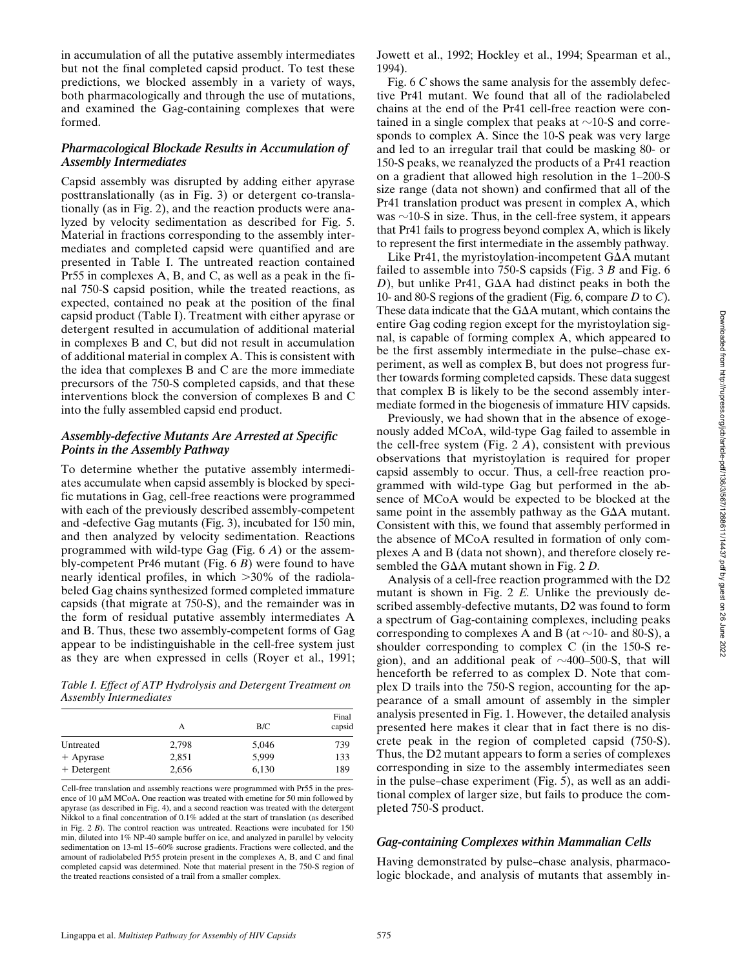in accumulation of all the putative assembly intermediates but not the final completed capsid product. To test these predictions, we blocked assembly in a variety of ways, both pharmacologically and through the use of mutations, and examined the Gag-containing complexes that were formed.

# *Pharmacological Blockade Results in Accumulation of Assembly Intermediates*

Capsid assembly was disrupted by adding either apyrase posttranslationally (as in Fig. 3) or detergent co-translationally (as in Fig. 2), and the reaction products were analyzed by velocity sedimentation as described for Fig. 5. Material in fractions corresponding to the assembly intermediates and completed capsid were quantified and are presented in Table I. The untreated reaction contained Pr55 in complexes A, B, and C, as well as a peak in the final 750-S capsid position, while the treated reactions, as expected, contained no peak at the position of the final capsid product (Table I). Treatment with either apyrase or detergent resulted in accumulation of additional material in complexes B and C, but did not result in accumulation of additional material in complex A. This is consistent with the idea that complexes B and C are the more immediate precursors of the 750-S completed capsids, and that these interventions block the conversion of complexes B and C into the fully assembled capsid end product.

# *Assembly-defective Mutants Are Arrested at Specific Points in the Assembly Pathway*

To determine whether the putative assembly intermediates accumulate when capsid assembly is blocked by specific mutations in Gag, cell-free reactions were programmed with each of the previously described assembly-competent and -defective Gag mutants (Fig. 3), incubated for 150 min, and then analyzed by velocity sedimentation. Reactions programmed with wild-type Gag (Fig. 6 *A*) or the assembly-competent Pr46 mutant (Fig. 6 *B*) were found to have nearly identical profiles, in which  $>30\%$  of the radiolabeled Gag chains synthesized formed completed immature capsids (that migrate at 750-S), and the remainder was in the form of residual putative assembly intermediates A and B. Thus, these two assembly-competent forms of Gag appear to be indistinguishable in the cell-free system just as they are when expressed in cells (Royer et al., 1991;

*Table I. Effect of ATP Hydrolysis and Detergent Treatment on Assembly Intermediates*

|               | А     | B/C   | Final<br>capsid |
|---------------|-------|-------|-----------------|
| Untreated     | 2,798 | 5,046 | 739             |
| $+$ Apyrase   | 2,851 | 5.999 | 133             |
| $+$ Detergent | 2,656 | 6,130 | 189             |

Cell-free translation and assembly reactions were programmed with Pr55 in the presence of  $10 \mu M MCOA$ . One reaction was treated with emetine for 50 min followed by apyrase (as described in Fig. 4), and a second reaction was treated with the detergent Nikkol to a final concentration of 0.1% added at the start of translation (as described in Fig. 2 *B*). The control reaction was untreated. Reactions were incubated for 150 min, diluted into 1% NP-40 sample buffer on ice, and analyzed in parallel by velocity sedimentation on 13-ml 15–60% sucrose gradients. Fractions were collected, and the amount of radiolabeled Pr55 protein present in the complexes A, B, and C and final completed capsid was determined. Note that material present in the 750-S region of the treated reactions consisted of a trail from a smaller complex.

Jowett et al., 1992; Hockley et al., 1994; Spearman et al., 1994).

Fig. 6 *C* shows the same analysis for the assembly defective Pr41 mutant. We found that all of the radiolabeled chains at the end of the Pr41 cell-free reaction were contained in a single complex that peaks at  $\sim$ 10-S and corresponds to complex A. Since the 10-S peak was very large and led to an irregular trail that could be masking 80- or 150-S peaks, we reanalyzed the products of a Pr41 reaction on a gradient that allowed high resolution in the 1–200-S size range (data not shown) and confirmed that all of the Pr41 translation product was present in complex A, which was  $\sim$ 10-S in size. Thus, in the cell-free system, it appears that Pr41 fails to progress beyond complex A, which is likely to represent the first intermediate in the assembly pathway.

Like Pr41, the myristoylation-incompetent G $\Delta A$  mutant failed to assemble into 750-S capsids (Fig. 3 *B* and Fig. 6 *D*), but unlike Pr41, G $\Delta A$  had distinct peaks in both the 10- and 80-S regions of the gradient (Fig. 6, compare *D* to *C*). These data indicate that the G $\Delta A$  mutant, which contains the entire Gag coding region except for the myristoylation signal, is capable of forming complex A, which appeared to be the first assembly intermediate in the pulse–chase experiment, as well as complex B, but does not progress further towards forming completed capsids. These data suggest that complex B is likely to be the second assembly intermediate formed in the biogenesis of immature HIV capsids.

Previously, we had shown that in the absence of exogenously added MCoA, wild-type Gag failed to assemble in the cell-free system (Fig. 2 *A*), consistent with previous observations that myristoylation is required for proper capsid assembly to occur. Thus, a cell-free reaction programmed with wild-type Gag but performed in the absence of MCoA would be expected to be blocked at the same point in the assembly pathway as the  $G\Delta A$  mutant. Consistent with this, we found that assembly performed in the absence of MCoA resulted in formation of only complexes A and B (data not shown), and therefore closely resembled the G $\Delta A$  mutant shown in Fig. 2 *D*.

Analysis of a cell-free reaction programmed with the D2 mutant is shown in Fig. 2 *E.* Unlike the previously described assembly-defective mutants, D2 was found to form a spectrum of Gag-containing complexes, including peaks corresponding to complexes A and B (at  $\sim$ 10- and 80-S), a shoulder corresponding to complex C (in the 150-S region), and an additional peak of  $\sim$ 400–500-S, that will henceforth be referred to as complex D. Note that complex D trails into the 750-S region, accounting for the appearance of a small amount of assembly in the simpler analysis presented in Fig. 1. However, the detailed analysis presented here makes it clear that in fact there is no discrete peak in the region of completed capsid (750-S). Thus, the D2 mutant appears to form a series of complexes corresponding in size to the assembly intermediates seen in the pulse–chase experiment (Fig. 5), as well as an additional complex of larger size, but fails to produce the completed 750-S product.

# *Gag-containing Complexes within Mammalian Cells*

Having demonstrated by pulse–chase analysis, pharmacologic blockade, and analysis of mutants that assembly in-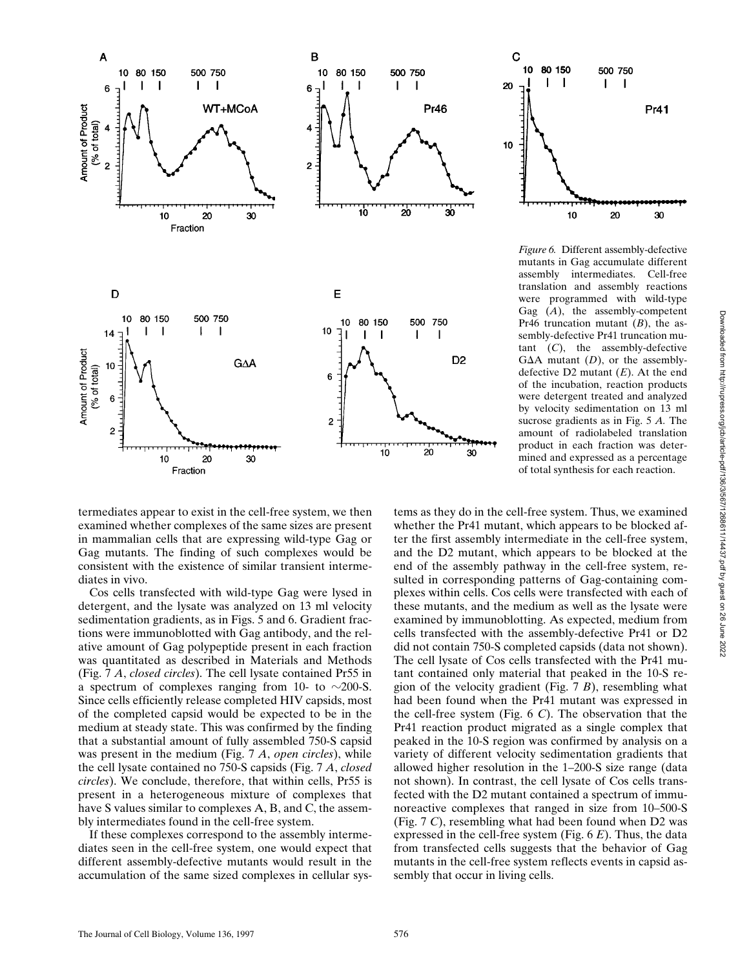



*Figure 6.* Different assembly-defective mutants in Gag accumulate different assembly intermediates. Cell-free translation and assembly reactions were programmed with wild-type Gag (*A*), the assembly-competent Pr46 truncation mutant (*B*), the assembly-defective Pr41 truncation mutant (*C*), the assembly-defective G $\Delta A$  mutant (*D*), or the assemblydefective D2 mutant (*E*). At the end of the incubation, reaction products were detergent treated and analyzed by velocity sedimentation on 13 ml sucrose gradients as in Fig. 5 *A.* The amount of radiolabeled translation product in each fraction was determined and expressed as a percentage of total synthesis for each reaction.

termediates appear to exist in the cell-free system, we then examined whether complexes of the same sizes are present in mammalian cells that are expressing wild-type Gag or Gag mutants. The finding of such complexes would be consistent with the existence of similar transient intermediates in vivo.

Cos cells transfected with wild-type Gag were lysed in detergent, and the lysate was analyzed on 13 ml velocity sedimentation gradients, as in Figs. 5 and 6. Gradient fractions were immunoblotted with Gag antibody, and the relative amount of Gag polypeptide present in each fraction was quantitated as described in Materials and Methods (Fig. 7 *A*, *closed circles*). The cell lysate contained Pr55 in a spectrum of complexes ranging from 10- to  $\sim$ 200-S. Since cells efficiently release completed HIV capsids, most of the completed capsid would be expected to be in the medium at steady state. This was confirmed by the finding that a substantial amount of fully assembled 750-S capsid was present in the medium (Fig. 7 *A*, *open circles*), while the cell lysate contained no 750-S capsids (Fig. 7 *A*, *closed circles*). We conclude, therefore, that within cells, Pr55 is present in a heterogeneous mixture of complexes that have S values similar to complexes A, B, and C, the assembly intermediates found in the cell-free system.

If these complexes correspond to the assembly intermediates seen in the cell-free system, one would expect that different assembly-defective mutants would result in the accumulation of the same sized complexes in cellular systems as they do in the cell-free system. Thus, we examined whether the Pr41 mutant, which appears to be blocked after the first assembly intermediate in the cell-free system, and the D2 mutant, which appears to be blocked at the end of the assembly pathway in the cell-free system, resulted in corresponding patterns of Gag-containing complexes within cells. Cos cells were transfected with each of these mutants, and the medium as well as the lysate were examined by immunoblotting. As expected, medium from cells transfected with the assembly-defective Pr41 or D2 did not contain 750-S completed capsids (data not shown). The cell lysate of Cos cells transfected with the Pr41 mutant contained only material that peaked in the 10-S region of the velocity gradient (Fig. 7 *B*), resembling what had been found when the Pr41 mutant was expressed in the cell-free system (Fig. 6 *C*). The observation that the Pr41 reaction product migrated as a single complex that peaked in the 10-S region was confirmed by analysis on a variety of different velocity sedimentation gradients that allowed higher resolution in the 1–200-S size range (data not shown). In contrast, the cell lysate of Cos cells transfected with the D2 mutant contained a spectrum of immunoreactive complexes that ranged in size from 10–500-S (Fig. 7 *C*), resembling what had been found when D2 was expressed in the cell-free system (Fig. 6 *E*). Thus, the data from transfected cells suggests that the behavior of Gag mutants in the cell-free system reflects events in capsid assembly that occur in living cells.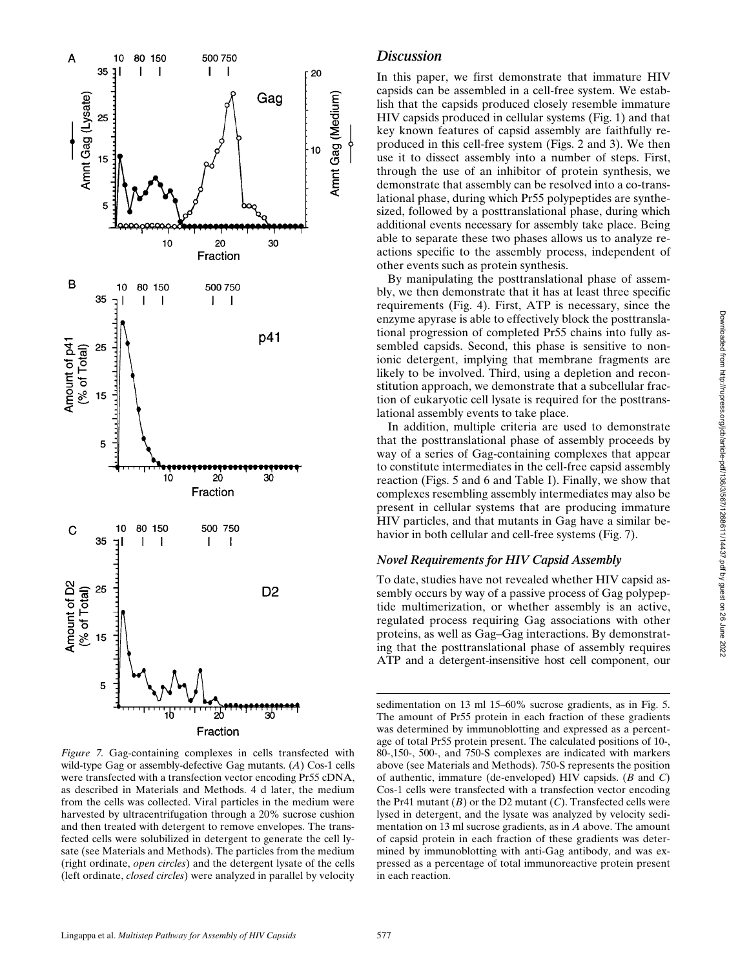

*Figure 7.* Gag-containing complexes in cells transfected with wild-type Gag or assembly-defective Gag mutants. (*A*) Cos-1 cells were transfected with a transfection vector encoding Pr55 cDNA, as described in Materials and Methods. 4 d later, the medium from the cells was collected. Viral particles in the medium were harvested by ultracentrifugation through a 20% sucrose cushion and then treated with detergent to remove envelopes. The transfected cells were solubilized in detergent to generate the cell lysate (see Materials and Methods). The particles from the medium (right ordinate, *open circles*) and the detergent lysate of the cells (left ordinate, *closed circles*) were analyzed in parallel by velocity

# *Discussion*

In this paper, we first demonstrate that immature HIV capsids can be assembled in a cell-free system. We establish that the capsids produced closely resemble immature HIV capsids produced in cellular systems (Fig. 1) and that key known features of capsid assembly are faithfully reproduced in this cell-free system (Figs. 2 and 3). We then use it to dissect assembly into a number of steps. First, through the use of an inhibitor of protein synthesis, we demonstrate that assembly can be resolved into a co-translational phase, during which Pr55 polypeptides are synthesized, followed by a posttranslational phase, during which additional events necessary for assembly take place. Being able to separate these two phases allows us to analyze reactions specific to the assembly process, independent of other events such as protein synthesis.

By manipulating the posttranslational phase of assembly, we then demonstrate that it has at least three specific requirements (Fig. 4). First, ATP is necessary, since the enzyme apyrase is able to effectively block the posttranslational progression of completed Pr55 chains into fully assembled capsids. Second, this phase is sensitive to nonionic detergent, implying that membrane fragments are likely to be involved. Third, using a depletion and reconstitution approach, we demonstrate that a subcellular fraction of eukaryotic cell lysate is required for the posttranslational assembly events to take place.

In addition, multiple criteria are used to demonstrate that the posttranslational phase of assembly proceeds by way of a series of Gag-containing complexes that appear to constitute intermediates in the cell-free capsid assembly reaction (Figs. 5 and 6 and Table I). Finally, we show that complexes resembling assembly intermediates may also be present in cellular systems that are producing immature HIV particles, and that mutants in Gag have a similar behavior in both cellular and cell-free systems (Fig. 7).

#### *Novel Requirements for HIV Capsid Assembly*

To date, studies have not revealed whether HIV capsid assembly occurs by way of a passive process of Gag polypeptide multimerization, or whether assembly is an active, regulated process requiring Gag associations with other proteins, as well as Gag–Gag interactions. By demonstrating that the posttranslational phase of assembly requires ATP and a detergent-insensitive host cell component, our

sedimentation on 13 ml 15–60% sucrose gradients, as in Fig. 5. The amount of Pr55 protein in each fraction of these gradients was determined by immunoblotting and expressed as a percentage of total Pr55 protein present. The calculated positions of 10-, 80-,150-, 500-, and 750-S complexes are indicated with markers above (see Materials and Methods). 750-S represents the position of authentic, immature (de-enveloped) HIV capsids. (*B* and *C*) Cos-1 cells were transfected with a transfection vector encoding the Pr41 mutant (*B*) or the D2 mutant (*C*). Transfected cells were lysed in detergent, and the lysate was analyzed by velocity sedimentation on 13 ml sucrose gradients, as in *A* above. The amount of capsid protein in each fraction of these gradients was determined by immunoblotting with anti-Gag antibody, and was expressed as a percentage of total immunoreactive protein present in each reaction.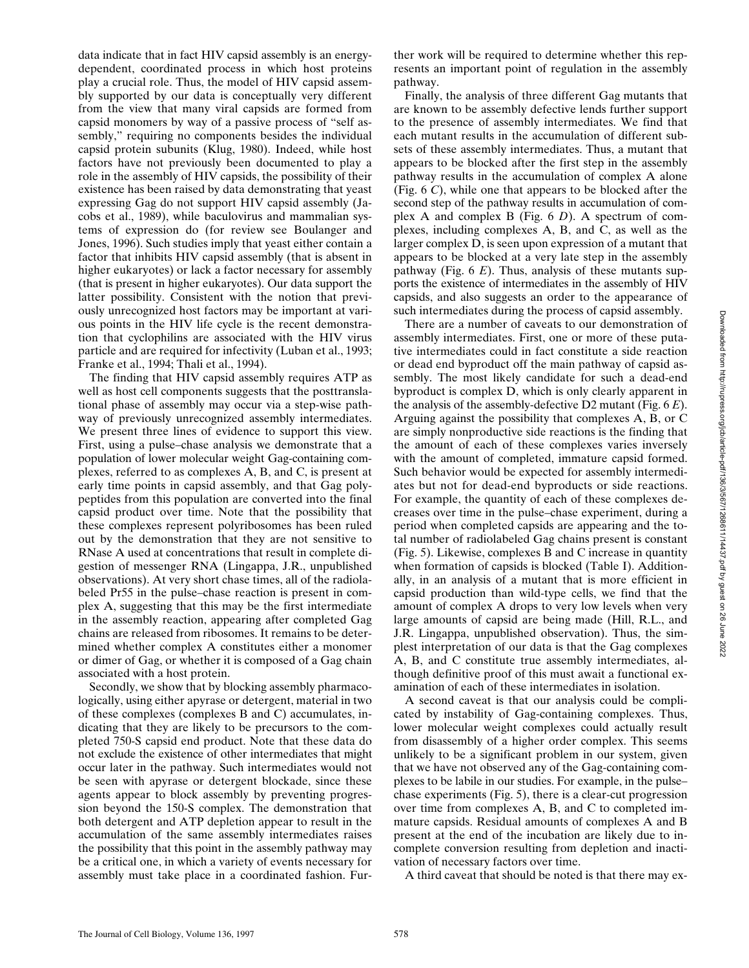data indicate that in fact HIV capsid assembly is an energydependent, coordinated process in which host proteins play a crucial role. Thus, the model of HIV capsid assembly supported by our data is conceptually very different from the view that many viral capsids are formed from capsid monomers by way of a passive process of "self assembly," requiring no components besides the individual capsid protein subunits (Klug, 1980). Indeed, while host factors have not previously been documented to play a role in the assembly of HIV capsids, the possibility of their existence has been raised by data demonstrating that yeast expressing Gag do not support HIV capsid assembly (Jacobs et al., 1989), while baculovirus and mammalian systems of expression do (for review see Boulanger and Jones, 1996). Such studies imply that yeast either contain a factor that inhibits HIV capsid assembly (that is absent in higher eukaryotes) or lack a factor necessary for assembly (that is present in higher eukaryotes). Our data support the latter possibility. Consistent with the notion that previously unrecognized host factors may be important at various points in the HIV life cycle is the recent demonstration that cyclophilins are associated with the HIV virus particle and are required for infectivity (Luban et al., 1993; Franke et al., 1994; Thali et al., 1994).

The finding that HIV capsid assembly requires ATP as well as host cell components suggests that the posttranslational phase of assembly may occur via a step-wise pathway of previously unrecognized assembly intermediates. We present three lines of evidence to support this view. First, using a pulse–chase analysis we demonstrate that a population of lower molecular weight Gag-containing complexes, referred to as complexes A, B, and C, is present at early time points in capsid assembly, and that Gag polypeptides from this population are converted into the final capsid product over time. Note that the possibility that these complexes represent polyribosomes has been ruled out by the demonstration that they are not sensitive to RNase A used at concentrations that result in complete digestion of messenger RNA (Lingappa, J.R., unpublished observations). At very short chase times, all of the radiolabeled Pr55 in the pulse–chase reaction is present in complex A, suggesting that this may be the first intermediate in the assembly reaction, appearing after completed Gag chains are released from ribosomes. It remains to be determined whether complex A constitutes either a monomer or dimer of Gag, or whether it is composed of a Gag chain associated with a host protein.

Secondly, we show that by blocking assembly pharmacologically, using either apyrase or detergent, material in two of these complexes (complexes B and C) accumulates, indicating that they are likely to be precursors to the completed 750-S capsid end product. Note that these data do not exclude the existence of other intermediates that might occur later in the pathway. Such intermediates would not be seen with apyrase or detergent blockade, since these agents appear to block assembly by preventing progression beyond the 150-S complex. The demonstration that both detergent and ATP depletion appear to result in the accumulation of the same assembly intermediates raises the possibility that this point in the assembly pathway may be a critical one, in which a variety of events necessary for assembly must take place in a coordinated fashion. Further work will be required to determine whether this represents an important point of regulation in the assembly pathway.

Finally, the analysis of three different Gag mutants that are known to be assembly defective lends further support to the presence of assembly intermediates. We find that each mutant results in the accumulation of different subsets of these assembly intermediates. Thus, a mutant that appears to be blocked after the first step in the assembly pathway results in the accumulation of complex A alone (Fig. 6 *C*), while one that appears to be blocked after the second step of the pathway results in accumulation of complex A and complex B (Fig. 6 *D*). A spectrum of complexes, including complexes A, B, and C, as well as the larger complex D, is seen upon expression of a mutant that appears to be blocked at a very late step in the assembly pathway (Fig. 6 *E*). Thus, analysis of these mutants supports the existence of intermediates in the assembly of HIV capsids, and also suggests an order to the appearance of such intermediates during the process of capsid assembly.

There are a number of caveats to our demonstration of assembly intermediates. First, one or more of these putative intermediates could in fact constitute a side reaction or dead end byproduct off the main pathway of capsid assembly. The most likely candidate for such a dead-end byproduct is complex D, which is only clearly apparent in the analysis of the assembly-defective D2 mutant (Fig. 6 *E*). Arguing against the possibility that complexes A, B, or C are simply nonproductive side reactions is the finding that the amount of each of these complexes varies inversely with the amount of completed, immature capsid formed. Such behavior would be expected for assembly intermediates but not for dead-end byproducts or side reactions. For example, the quantity of each of these complexes decreases over time in the pulse–chase experiment, during a period when completed capsids are appearing and the total number of radiolabeled Gag chains present is constant (Fig. 5). Likewise, complexes B and C increase in quantity when formation of capsids is blocked (Table I). Additionally, in an analysis of a mutant that is more efficient in capsid production than wild-type cells, we find that the amount of complex A drops to very low levels when very large amounts of capsid are being made (Hill, R.L., and J.R. Lingappa, unpublished observation). Thus, the simplest interpretation of our data is that the Gag complexes A, B, and C constitute true assembly intermediates, although definitive proof of this must await a functional examination of each of these intermediates in isolation.

A second caveat is that our analysis could be complicated by instability of Gag-containing complexes. Thus, lower molecular weight complexes could actually result from disassembly of a higher order complex. This seems unlikely to be a significant problem in our system, given that we have not observed any of the Gag-containing complexes to be labile in our studies. For example, in the pulse– chase experiments (Fig. 5), there is a clear-cut progression over time from complexes A, B, and C to completed immature capsids. Residual amounts of complexes A and B present at the end of the incubation are likely due to incomplete conversion resulting from depletion and inactivation of necessary factors over time.

A third caveat that should be noted is that there may ex-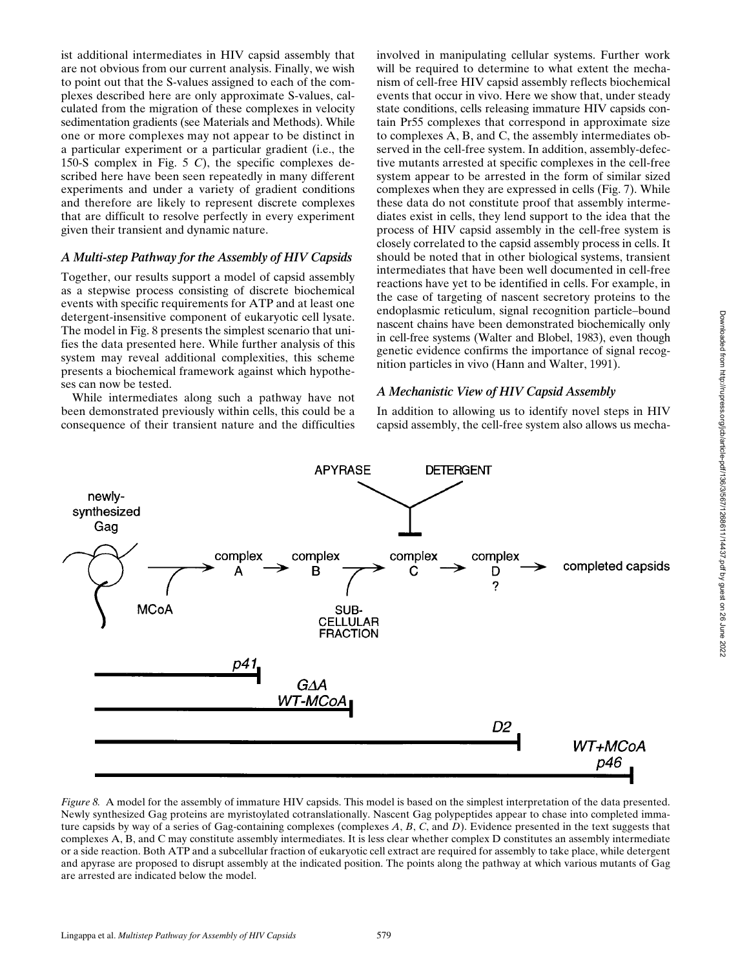ist additional intermediates in HIV capsid assembly that are not obvious from our current analysis. Finally, we wish to point out that the S-values assigned to each of the complexes described here are only approximate S-values, calculated from the migration of these complexes in velocity sedimentation gradients (see Materials and Methods). While one or more complexes may not appear to be distinct in a particular experiment or a particular gradient (i.e., the 150-S complex in Fig. 5 *C*), the specific complexes described here have been seen repeatedly in many different experiments and under a variety of gradient conditions and therefore are likely to represent discrete complexes that are difficult to resolve perfectly in every experiment given their transient and dynamic nature.

# *A Multi-step Pathway for the Assembly of HIV Capsids*

Together, our results support a model of capsid assembly as a stepwise process consisting of discrete biochemical events with specific requirements for ATP and at least one detergent-insensitive component of eukaryotic cell lysate. The model in Fig. 8 presents the simplest scenario that unifies the data presented here. While further analysis of this system may reveal additional complexities, this scheme presents a biochemical framework against which hypotheses can now be tested.

While intermediates along such a pathway have not been demonstrated previously within cells, this could be a consequence of their transient nature and the difficulties involved in manipulating cellular systems. Further work will be required to determine to what extent the mechanism of cell-free HIV capsid assembly reflects biochemical events that occur in vivo. Here we show that, under steady state conditions, cells releasing immature HIV capsids contain Pr55 complexes that correspond in approximate size to complexes A, B, and C, the assembly intermediates observed in the cell-free system. In addition, assembly-defective mutants arrested at specific complexes in the cell-free system appear to be arrested in the form of similar sized complexes when they are expressed in cells (Fig. 7). While these data do not constitute proof that assembly intermediates exist in cells, they lend support to the idea that the process of HIV capsid assembly in the cell-free system is closely correlated to the capsid assembly process in cells. It should be noted that in other biological systems, transient intermediates that have been well documented in cell-free reactions have yet to be identified in cells. For example, in the case of targeting of nascent secretory proteins to the endoplasmic reticulum, signal recognition particle–bound nascent chains have been demonstrated biochemically only in cell-free systems (Walter and Blobel, 1983), even though genetic evidence confirms the importance of signal recognition particles in vivo (Hann and Walter, 1991).

# *A Mechanistic View of HIV Capsid Assembly*

In addition to allowing us to identify novel steps in HIV capsid assembly, the cell-free system also allows us mecha-



*Figure 8.* A model for the assembly of immature HIV capsids. This model is based on the simplest interpretation of the data presented. Newly synthesized Gag proteins are myristoylated cotranslationally. Nascent Gag polypeptides appear to chase into completed immature capsids by way of a series of Gag-containing complexes (complexes *A*, *B*, *C*, and *D*). Evidence presented in the text suggests that complexes A, B, and C may constitute assembly intermediates. It is less clear whether complex D constitutes an assembly intermediate or a side reaction. Both ATP and a subcellular fraction of eukaryotic cell extract are required for assembly to take place, while detergent and apyrase are proposed to disrupt assembly at the indicated position. The points along the pathway at which various mutants of Gag are arrested are indicated below the model.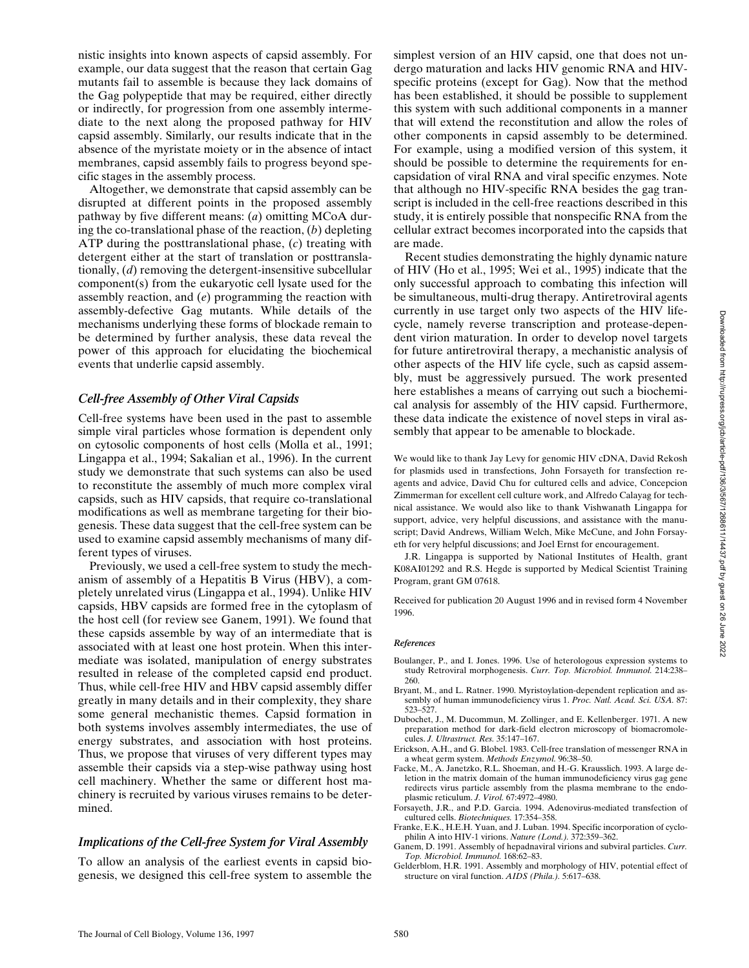Downloaded from http://rupress.org/jcb/article-pdf/136/3/567/1268611/14437.pdf by guest on 26 June 2022 Downloaded from http://rupress.org/jcb/article-pdf/136/3/567/1268611/14437.pdf by guest on 26 June 2022

nistic insights into known aspects of capsid assembly. For example, our data suggest that the reason that certain Gag mutants fail to assemble is because they lack domains of the Gag polypeptide that may be required, either directly or indirectly, for progression from one assembly intermediate to the next along the proposed pathway for HIV capsid assembly. Similarly, our results indicate that in the absence of the myristate moiety or in the absence of intact membranes, capsid assembly fails to progress beyond specific stages in the assembly process.

Altogether, we demonstrate that capsid assembly can be disrupted at different points in the proposed assembly pathway by five different means: (*a*) omitting MCoA during the co-translational phase of the reaction, (*b*) depleting ATP during the posttranslational phase, (*c*) treating with detergent either at the start of translation or posttranslationally, (*d*) removing the detergent-insensitive subcellular component(s) from the eukaryotic cell lysate used for the assembly reaction, and (*e*) programming the reaction with assembly-defective Gag mutants. While details of the mechanisms underlying these forms of blockade remain to be determined by further analysis, these data reveal the power of this approach for elucidating the biochemical events that underlie capsid assembly.

#### *Cell-free Assembly of Other Viral Capsids*

Cell-free systems have been used in the past to assemble simple viral particles whose formation is dependent only on cytosolic components of host cells (Molla et al., 1991; Lingappa et al., 1994; Sakalian et al., 1996). In the current study we demonstrate that such systems can also be used to reconstitute the assembly of much more complex viral capsids, such as HIV capsids, that require co-translational modifications as well as membrane targeting for their biogenesis. These data suggest that the cell-free system can be used to examine capsid assembly mechanisms of many different types of viruses.

Previously, we used a cell-free system to study the mechanism of assembly of a Hepatitis B Virus (HBV), a completely unrelated virus (Lingappa et al., 1994). Unlike HIV capsids, HBV capsids are formed free in the cytoplasm of the host cell (for review see Ganem, 1991). We found that these capsids assemble by way of an intermediate that is associated with at least one host protein. When this intermediate was isolated, manipulation of energy substrates resulted in release of the completed capsid end product. Thus, while cell-free HIV and HBV capsid assembly differ greatly in many details and in their complexity, they share some general mechanistic themes. Capsid formation in both systems involves assembly intermediates, the use of energy substrates, and association with host proteins. Thus, we propose that viruses of very different types may assemble their capsids via a step-wise pathway using host cell machinery. Whether the same or different host machinery is recruited by various viruses remains to be determined.

### *Implications of the Cell-free System for Viral Assembly*

To allow an analysis of the earliest events in capsid biogenesis, we designed this cell-free system to assemble the

simplest version of an HIV capsid, one that does not undergo maturation and lacks HIV genomic RNA and HIVspecific proteins (except for Gag). Now that the method has been established, it should be possible to supplement this system with such additional components in a manner that will extend the reconstitution and allow the roles of other components in capsid assembly to be determined. For example, using a modified version of this system, it should be possible to determine the requirements for encapsidation of viral RNA and viral specific enzymes. Note that although no HIV-specific RNA besides the gag transcript is included in the cell-free reactions described in this study, it is entirely possible that nonspecific RNA from the cellular extract becomes incorporated into the capsids that are made.

Recent studies demonstrating the highly dynamic nature of HIV (Ho et al., 1995; Wei et al., 1995) indicate that the only successful approach to combating this infection will be simultaneous, multi-drug therapy. Antiretroviral agents currently in use target only two aspects of the HIV lifecycle, namely reverse transcription and protease-dependent virion maturation. In order to develop novel targets for future antiretroviral therapy, a mechanistic analysis of other aspects of the HIV life cycle, such as capsid assembly, must be aggressively pursued. The work presented here establishes a means of carrying out such a biochemical analysis for assembly of the HIV capsid. Furthermore, these data indicate the existence of novel steps in viral assembly that appear to be amenable to blockade.

We would like to thank Jay Levy for genomic HIV cDNA, David Rekosh for plasmids used in transfections, John Forsayeth for transfection reagents and advice, David Chu for cultured cells and advice, Concepcion Zimmerman for excellent cell culture work, and Alfredo Calayag for technical assistance. We would also like to thank Vishwanath Lingappa for support, advice, very helpful discussions, and assistance with the manuscript; David Andrews, William Welch, Mike McCune, and John Forsayeth for very helpful discussions; and Joel Ernst for encouragement.

J.R. Lingappa is supported by National Institutes of Health, grant K08AI01292 and R.S. Hegde is supported by Medical Scientist Training Program, grant GM 07618.

Received for publication 20 August 1996 and in revised form 4 November 1996.

#### *References*

- Boulanger, P., and I. Jones. 1996. Use of heterologous expression systems to study Retroviral morphogenesis. *Curr. Top. Microbiol. Immunol.* 214:238– 260.
- Bryant, M., and L. Ratner. 1990. Myristoylation-dependent replication and assembly of human immunodeficiency virus 1. *Proc. Natl. Acad. Sci. USA.* 87: 523–527.
- Dubochet, J., M. Ducommun, M. Zollinger, and E. Kellenberger. 1971. A new preparation method for dark-field electron microscopy of biomacromolecules. *J. Ultrastruct. Res.* 35:147–167.
- Erickson, A.H., and G. Blobel. 1983. Cell-free translation of messenger RNA in a wheat germ system. *Methods Enzymol.* 96:38–50.
- Facke, M., A. Janetzko, R.L. Shoeman, and H.-G. Krausslich. 1993. A large deletion in the matrix domain of the human immunodeficiency virus gag gene redirects virus particle assembly from the plasma membrane to the endoplasmic reticulum. *J. Virol.* 67:4972–4980.
- Forsayeth, J.R., and P.D. Garcia. 1994. Adenovirus-mediated transfection of cultured cells. *Biotechniques.* 17:354–358.
- Franke, E.K., H.E.H. Yuan, and J. Luban. 1994. Specific incorporation of cyclo-philin A into HIV-1 virions. *Nature (Lond.).* 372:359–362.
- Ganem, D. 1991. Assembly of hepadnaviral virions and subviral particles. *Curr. Top. Microbiol. Immunol.* 168:62–83.
- Gelderblom, H.R. 1991. Assembly and morphology of HIV, potential effect of structure on viral function. *AIDS (Phila.).* 5:617–638.